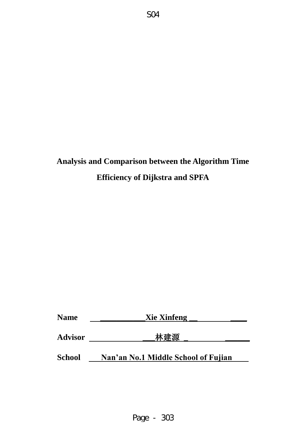# **Analysis and Comparison between the Algorithm Time Efficiency of Dijkstra and SPFA**

| <b>Name</b>    | <b>Xie Xinfeng</b><br>林建源           |  |  |
|----------------|-------------------------------------|--|--|
| <b>Advisor</b> |                                     |  |  |
| <b>School</b>  | Nan'an No.1 Middle School of Fujian |  |  |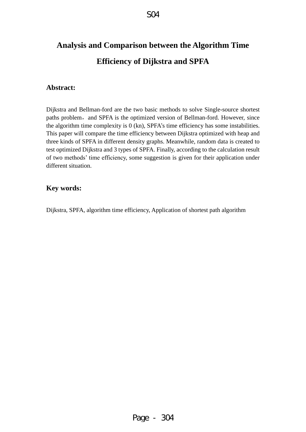# **Analysis and Comparison between the Algorithm Time Efficiency of Dijkstra and SPFA**

## **Abstract:**

Dijkstra and Bellman-ford are the two basic methods to solve Single-source shortest paths problem, and SPFA is the optimized version of Bellman-ford. However, since the algorithm time complexity is 0 (kn), SPFA's time efficiency has some instabilities. This paper will compare the time efficiency between Dijkstra optimized with heap and three kinds of SPFA in different density graphs. Meanwhile, random data is created to test optimized Dijkstra and 3 types of SPFA. Finally, according to the calculation result of two methods' time efficiency, some suggestion is given for their application under different situation.

## **Key words:**

Dijkstra, SPFA, algorithm time efficiency, Application of shortest path algorithm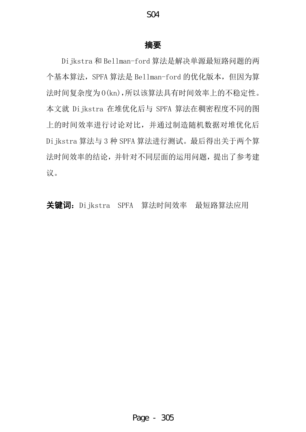## 摘要

Dijkstra 和 Bellman-ford 算法是解决单源最短路问题的两 个基本算法,SPFA 算法是 Bellman-ford 的优化版本,但因为算 法时间复杂度为 O(kn),所以该算法具有时间效率上的不稳定性。 本文就 Dijkstra 在堆优化后与 SPFA 算法在稠密程度不同的图 上的时间效率进行讨论对比,并通过制造随机数据对堆优化后 Dijkstra 算法与 3 种 SPFA 算法进行测试。最后得出关于两个算 法时间效率的结论,并针对不同层面的运用问题,提出了参考建 议。

关键词: Dijkstra SPFA 算法时间效率 最短路算法应用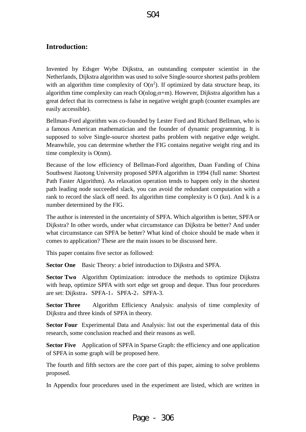# **Introduction:**

Invented by Edsger Wybe Dijkstra, an outstanding computer scientist in the Netherlands, Dijkstra algorithm was used to solve Single-source shortest paths problem with an algorithm time complexity of  $O(n^2)$ . If optimized by data structure heap, its algorithm time complexity can reach  $O(n \log_2 n + m)$ . However, Dijkstra algorithm has a great defect that its correctness is false in negative weight graph (counter examples are easily accessible).

Bellman-Ford algorithm was co-founded by Lester Ford and Richard Bellman, who is a famous American mathematician and the founder of dynamic programming. It is supposed to solve Single-source shortest paths problem with negative edge weight. Meanwhile, you can determine whether the FIG contains negative weight ring and its time complexity is O(nm).

Because of the low efficiency of Bellman-Ford algorithm, Duan Fanding of China Southwest Jiaotong University proposed SPFA algorithm in 1994 (full name: Shortest Path Faster Algorithm). As relaxation operation tends to happen only in the shortest path leading node succeeded slack, you can avoid the redundant computation with a rank to record the slack off need. Its algorithm time complexity is  $O$  (kn). And k is a number determined by the FIG.

The author is interested in the uncertainty of SPFA. Which algorithm is better, SPFA or Dijkstra? In other words, under what circumstance can Dijkstra be better? And under what circumstance can SPFA be better? What kind of choice should be made when it comes to application? These are the main issues to be discussed here.

This paper contains five sector as followed:

**Sector One** Basic Theory: a brief introduction to Dijkstra and SPFA.

**Sector Two** Algorithm Optimization: introduce the methods to optimize Dijkstra with heap, optimize SPFA with sort edge set group and deque. Thus four procedures are set: Dijkstra, SPFA-1, SPFA-2, SPFA-3.

**Sector Three** Algorithm Efficiency Analysis: analysis of time complexity of Dijkstra and three kinds of SPFA in theory.

**Sector Four** Experimental Data and Analysis: list out the experimental data of this research, some conclusion reached and their reasons as well.

**Sector Five** Application of SPFA in Sparse Graph: the efficiency and one application of SPFA in some graph will be proposed here.

The fourth and fifth sectors are the core part of this paper, aiming to solve problems proposed.

In Appendix four procedures used in the experiment are listed, which are written in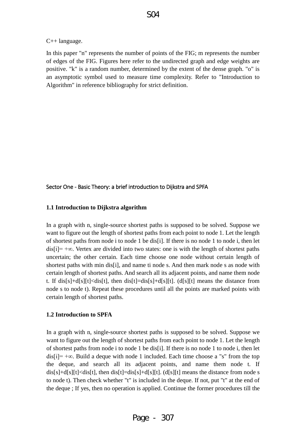#### C++ language.

In this paper "n" represents the number of points of the FIG; m represents the number of edges of the FIG. Figures here refer to the undirected graph and edge weights are positive. "k" is a random number, determined by the extent of the dense graph. "o" is an asymptotic symbol used to measure time complexity. Refer to "Introduction to Algorithm" in reference bibliography for strict definition.

#### Sector One - Basic Theory: a brief introduction to Dijkstra and SPFA

#### **1.1 Introduction to Dijkstra algorithm**

In a graph with n, single-source shortest paths is supposed to be solved. Suppose we want to figure out the length of shortest paths from each point to node 1. Let the length of shortest paths from node i to node 1 be dis[i]. If there is no node 1 to node i, then let  $dis[i]= +\infty$ . Vertex are divided into two states: one is with the length of shortest paths uncertain; the other certain. Each time choose one node without certain length of shortest paths with min dis[i], and name ti node s. And then mark node s as node with certain length of shortest paths. And search all its adjacent points, and name them node t. If  $dis[s]+d[s][t] < dis[t]$ , then  $dis[t]=dis[s]+d[s][t]$ . (d[s][t] means the distance from node s to node t). Repeat these procedures until all the points are marked points with certain length of shortest paths.

#### **1.2 Introduction to SPFA**

In a graph with n, single-source shortest paths is supposed to be solved. Suppose we want to figure out the length of shortest paths from each point to node 1. Let the length of shortest paths from node i to node 1 be dis[i]. If there is no node 1 to node i, then let dis[i]=  $+\infty$ . Build a deque with node 1 included. Each time choose a "s" from the top the deque, and search all its adjacent points, and name them node t. If dis[s]+d[s][t]<dis[t], then dis[t]=dis[s]+d[s][t]. (d[s][t] means the distance from node s to node t). Then check whether "t" is included in the deque. If not, put "t" at the end of the deque ; If yes, then no operation is applied. Continue the former procedures till the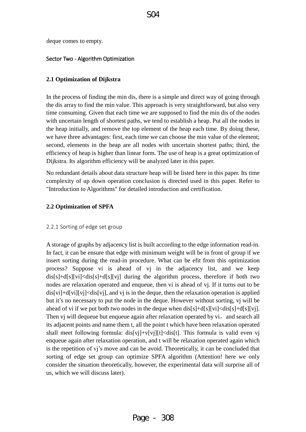deque comes to empty.

#### Sector Two - Algorithm Optimization

#### **2.1 Optimization of Dijkstra**

In the process of finding the min dis, there is a simple and direct way of going through the dis array to find the min value. This approach is very straightforward, but also very time consuming. Given that each time we are supposed to find the min dis of the nodes with uncertain length of shortest paths, we tend to establish a heap. Put all the nodes in the heap initially, and remove the top element of the heap each time. By doing these, we have three advantages: first, each time we can choose the min value of the element; second, elements in the heap are all nodes with uncertain shortest paths; third, the efficiency of heap is higher than linear form. The use of heap is a great optimization of Dijkstra. Its algorithm efficiency will be analyzed later in this paper.

No redundant details about data structure heap will be listed here in this paper. Its time complexity of up down operation conclusion is directed used in this paper. Refer to "Introduction to Algorithms" for detailed introduction and certification.

#### **2.2 Optimization of SPFA**

#### 2.2.1 Sorting of edge set group

A storage of graphs by adjacency list is built according to the edge information read-in. In fact, it can be ensure that edge with minimum weight will be in front of group if we insert sorting during the read-in procedure. What can be efit from this optimization process? Suppose vi is ahead of vj in the adjacency list, and we keep dis[s]+d[s][vi]<dis[s]+d[s][vi] during the algorithm process, therefore if both two nodes are relaxation operated and enqueue, then vi is ahead of vj. If it turns out to be  $dis[vi]+d[vi][vi] \le dis[vi]$ , and v<sub>i</sub> is in the deque, then the relaxation operation is applied but it's no necessary to put the node in the deque. However without sorting, vj will be ahead of vi if we put both two nodes in the deque when  $dis[s]+d[s][vi].$ Then vj will dequeue but enqueue again after relaxation operated by vi, and search all its adjacent points and name them t, all the point t which have been relaxation operated shall meet following formula: dis[vj]+v[vj][t]<dis[t]. This formula is valid even vj enqueue again after relaxation operation, and t will be relaxation operated again which is the repetition of vj's move and can be avoid. Theoretically, it can be concluded that sorting of edge set group can optimize SPFA algorithm (Attention! here we only consider the situation theoretically, however, the experimental data will surprise all of us, which we will discuss later).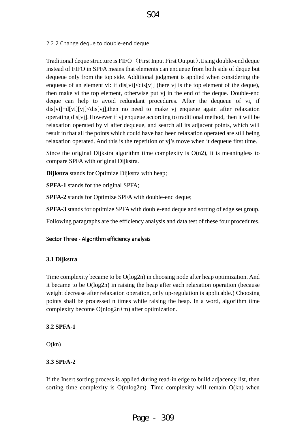## 2.2.2 Change deque to double-end deque

Traditional deque structure is FIFO (First Input First Output).Using double-end deque instead of FIFO in SPFA means that elements can enqueue from both side of deque but dequeue only from the top side. Additional judgment is applied when considering the enqueue of an element vi: if  $dis[vi] \le dis[vj]$  (here vj is the top element of the deque), then make vi the top element, otherwise put vj in the end of the deque. Double-end deque can help to avoid redundant procedures. After the dequeue of vi, if  $dis[vi]+d[vi][vi] \le dis[vi],$ then no need to make vj enqueue again after relaxation operating dis[vj].However if vj enqueue according to traditional method, then it will be relaxation operated by vi after dequeue, and search all its adjacent points, which will result in that all the points which could have had been relaxation operated are still being relaxation operated. And this is the repetition of vj's move when it dequeue first time.

Since the original Dijkstra algorithm time complexity is  $O(n2)$ , it is meaningless to compare SPFA with original Dijkstra.

**Dijkstra** stands for Optimize Dijkstra with heap;

**SPFA-1** stands for the original SPFA;

**SPFA-2** stands for Optimize SPFA with double-end deque;

**SPFA-3** stands for optimize SPFA with double-end deque and sorting of edge set group.

Following paragraphs are the efficiency analysis and data test of these four procedures.

### Sector Three - Algorithm efficiency analysis

### **3.1 Dijkstra**

Time complexity became to be O(log2n) in choosing node after heap optimization. And it became to be O(log2n) in raising the heap after each relaxation operation (because weight decrease after relaxation operation, only up-regulation is applicable.) Choosing points shall be processed n times while raising the heap. In a word, algorithm time complexity become O(nlog2n+m) after optimization.

### **3.2 SPFA-1**

 $O(kn)$ 

## **3.3 SPFA-2**

If the Insert sorting process is applied during read-in edge to build adjacency list, then sorting time complexity is  $O(m \log 2m)$ . Time complexity will remain  $O(kn)$  when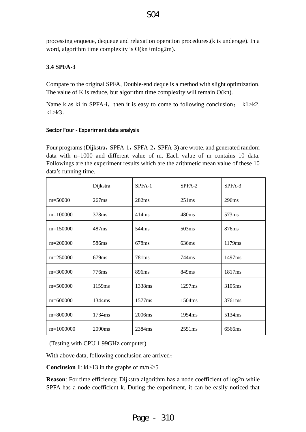processing enqueue, dequeue and relaxation operation procedures.(k is underage). In a word, algorithm time complexity is O(kn+mlog2m).

## **3.4 SPFA-3**

Compare to the original SPFA, Double-end deque is a method with slight optimization. The value of K is reduce, but algorithm time complexity will remain O(kn).

Name k as ki in SPFA-i, then it is easy to come to following conclusion; k1>k2,  $k1 > k3$ 

### Sector Four - Experiment data analysis

Four programs (Dijkstra, SPFA-1, SPFA-2, SPFA-3) are wrote, and generated random data with n=1000 and different value of m. Each value of m contains 10 data. Followings are the experiment results which are the [arithmetic](http://dict.youdao.com/w/arithmetic/) [mean](http://dict.youdao.com/w/mean/) [value](http://dict.youdao.com/w/value/) of these 10 data's running time.

|              | Dijkstra           | SPFA-1            | SPFA-2             | SPFA-3 |
|--------------|--------------------|-------------------|--------------------|--------|
| $m = 50000$  | 267ms              | 282ms             | 251ms              | 296ms  |
| $m=100000$   | 378ms              | 414ms             | 480 <sub>ms</sub>  | 573ms  |
| $m=150000$   | 487ms              | 544ms             | 503ms              | 876ms  |
| $m=200000$   | 586ms              | 678ms             | 636ms              | 1179ms |
| $m=250000$   | 679ms              | 781 <sub>ms</sub> | 744ms              | 1497ms |
| $m=300000$   | 776ms              | 896ms             | 849ms              | 1817ms |
| $m = 500000$ | 1159 <sub>ms</sub> | 1338ms            | 1297ms             | 3105ms |
| m=600000     | 1344ms             | 1577ms            | 1504ms             | 3761ms |
| m=800000     | 1734ms             | 2006ms            | 1954 <sub>ms</sub> | 5134ms |
| $m=1000000$  | 2090ms             | 2384ms            | 2551ms             | 6566ms |

(Testing with CPU 1.99GHz computer)

With above data, following conclusion are arrived;

**Conclusion 1**: ki>13 in the graphs of  $m/n \ge 5$ 

**Reason**: For time efficiency, Dijkstra algorithm has a node coefficient of log2n while SPFA has a node coefficient k. During the experiment, it can be easily noticed that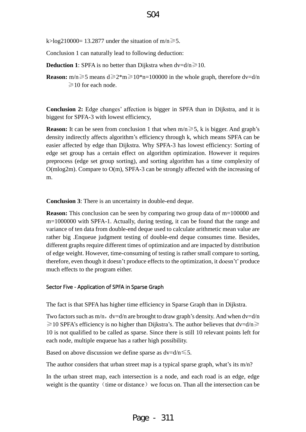k>log210000= 13.2877 under the situation of m/n $\ge$ 5.

Conclusion 1 can naturally lead to following deduction:

**Deduction 1**: SPFA is no better than Dijkstra when  $dv = d/n \ge 10$ .

**Reason:** m/n $\geq 5$  means d $\geq 2$ \*m $\geq 10$ \*n=100000 in the whole graph, therefore dv=d/n  $\geq$ 10 for each node.

**Conclusion 2:** Edge changes' affection is bigger in SPFA than in Dijkstra, and it is biggest for SPFA-3 with lowest efficiency,

**Reason:** It can be seen from conclusion 1 that when  $m/n \ge 5$ , k is bigger. And graph's density indirectly affects algorithm's efficiency through k, which means SPFA can be easier affected by edge than Dijkstra. Why SPFA-3 has lowest efficiency: Sorting of edge set group has a certain effect on algorithm optimization. However it requires preprocess (edge set group sorting), and sorting algorithm has a time complexity of O(mlog2m). Compare to O(m), SPFA-3 can be strongly affected with the increasing of m.

**Conclusion 3**: There is an uncertainty in double-end deque.

**Reason:** This conclusion can be seen by comparing two group data of m=100000 and m=1000000 with SPFA-1. Actually, during testing, it can be found that the range and variance of ten data from double-end deque used to calculate arithmetic mean value are rather big .Enqueue judgment testing of double-end deque consumes time. Besides, different graphs require different times of optimization and are impacted by distribution of edge weight. However, time-consuming of testing is rather small compare to sorting, therefore, even though it doesn't produce effects to the optimization, it doesn't' produce much effects to the program either.

#### Sector Five - Application of SPFA in Sparse Graph

The fact is that SPFA has higher time efficiency in Sparse Graph than in Dijkstra.

Two factors such as  $m/n$ , dv=d/n are brought to draw graph's density. And when dv=d/n  $\geq$  10 SPFA's efficiency is no higher than Dijkstra's. The author believes that dv=d/n $\geq$ 10 is not qualified to be called as sparse. Since there is still 10 relevant points left for each node, multiple enqueue has a rather high possibility.

Based on above discussion we define sparse as  $dv = d/n \leq 5$ .

The author considers that urban street map is a typical sparse graph, what's its m/n?

In the urban street map, each intersection is a node, and each road is an edge, edge weight is the quantity (time or distance) we focus on. Than all the intersection can be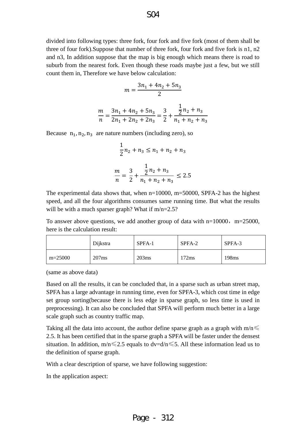divided into following types: three fork, four fork and five fork (most of them shall be three of four fork).Suppose that number of three fork, four fork and five fork is n1, n2 and n3, In addition suppose that the map is big enough which means there is road to suburb from the nearest fork. Even though these roads maybe just a few, but we still count them in, Therefore we have below calculation:

$$
m = \frac{3n_1 + 4n_2 + 5n_3}{2}
$$

$$
\frac{m}{n} = \frac{3n_1 + 4n_2 + 5n_3}{2n_1 + 2n_2 + 2n_3} = \frac{3}{2} + \frac{\frac{1}{2}n_2 + n_3}{n_1 + n_2 + n_3}
$$

Because  $n_1$ ,  $n_2$ ,  $n_3$  are nature numbers (including zero), so

$$
\frac{1}{2}n_2 + n_3 \le n_1 + n_2 + n_3
$$

$$
\frac{m}{n} = \frac{3}{2} + \frac{\frac{1}{2}n_2 + n_3}{n_1 + n_2 + n_3} \le 2.5
$$

The experimental data shows that, when n=10000, m=50000, SPFA-2 has the highest speed, and all the four algorithms consumes same running time. But what the results will be with a much sparser graph? What if m/n=2.5?

To answer above questions, we add another group of data with  $n=10000$ ,  $m=25000$ , here is the calculation result:

|           | Dijkstra | SPFA-1 | SPFA-2 | SPFA-3            |
|-----------|----------|--------|--------|-------------------|
| $m=25000$ | 207ms    | 203ms  | 172ms  | 198 <sub>ms</sub> |

(same as above data)

Based on all the results, it can be concluded that, in a sparse such as urban street map, SPFA has a large advantage in running time, even for SPFA-3, which cost time in edge set group sorting(because there is less edge in sparse graph, so less time is used in preprocessing). It can also be concluded that SPFA will perform much better in a large scale graph such as country traffic map.

Taking all the data into account, the author define sparse graph as a graph with  $m/n \leq$ 2.5. It has been certified that in the sparse graph a SPFA will be faster under the densest situation. In addition,  $m/n \le 2.5$  equals to dv=d/n  $\le 5$ . All these information lead us to the definition of sparse graph.

With a clear description of sparse, we have following suggestion:

In the application aspect: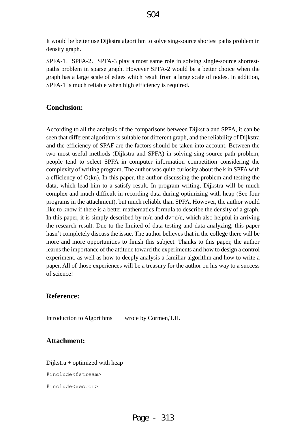It would be better use Dijkstra algorithm to solve sing-source shortest paths problem in density graph.

SPFA-1, SPFA-2, SPFA-3 play almost same role in solving single-source shortestpaths problem in sparse graph. However SPFA-2 would be a better choice when the graph has a large scale of edges which result from a large scale of nodes. In addition, SPFA-1 is much reliable when high efficiency is required.

## **Conclusion:**

According to all the analysis of the comparisons between Dijkstra and SPFA, it can be seen that different algorithm is suitable for different graph, and the reliability of Dijkstra and the efficiency of SPAF are the factors should be taken into account. Between the two most useful methods (Dijkstra and SPFA) in solving sing-source path problem, people tend to select SPFA in computer information competition considering the complexity of writing program. The author was quite curiosity about the k in SPFA with a efficiency of O(kn). In this paper, the author discussing the problem and testing the data, which lead him to a satisfy result. In program writing, Dijkstra will be much complex and much difficult in recording data during optimizing with heap (See four programs in the attachment), but much reliable than SPFA. However, the author would like to know if there is a better mathematics formula to describe the density of a graph. In this paper, it is simply described by  $m/n$  and  $dv = d/n$ , which also helpful in arriving the research result. Due to the limited of data testing and data analyzing, this paper hasn't completely discuss the issue. The author believes that in the college there will be more and more opportunities to finish this subject. Thanks to this paper, the author learns the importance of the attitude toward the experiments and how to design a control experiment, as well as how to deeply analysis a familiar algorithm and how to write a paper. All of those experiences will be a treasury for the author on his way to a success of science!

## **Reference:**

Introduction to Algorithms wrote by [Cormen](http://searchb.dangdang.com/?key2=Cormen&medium=01&category_path=01.00.00.00.00.00)[,T.H.](http://searchb.dangdang.com/?key2=T.H&medium=01&category_path=01.00.00.00.00.00)

## **Attachment:**

Dijkstra + optimized with heap

#include<fstream>

```
#include<vector>
```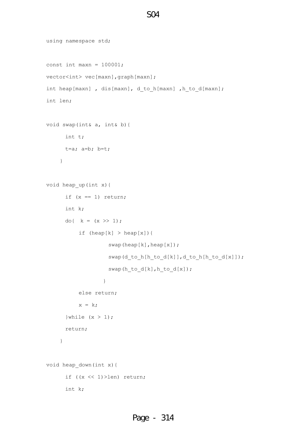```
using namespace std;
const int maxn = 100001;
vector<int> vec[maxn],graph[maxn];
int heap[maxn], dis[maxn], d_to_h[maxn], h_to_d[maxn];
int len;
void swap(int& a, int& b){
      int t;
      t=a; a=b; b=t;
     }
void heap_up(int x){
     if (x == 1) return;
      int k;
     do{ k = (x \gg 1);
          if (heap[k] > heap[x]){
                   swap(heap[k],heap[x]);
                   swap(d_to_h[h_to_d[k]],d_to_h[h_to_d[x]]);
                    swap(h_to_d[k],h_to_d[x]);
 }
           else return;
          x = k;}while (x > 1);
      return;
     }
void heap_down(int x){
       if ((x << 1)>len) return;
      int k;
```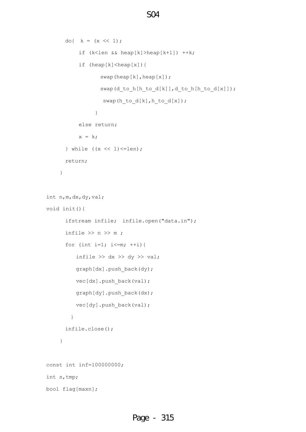```
do{ k = (x \le 1);
           if (k<len && heap[k]>heap[k+1]) ++k;
          if (heap[k] < heap[x]){
                 swap(heap[k],heap[x]);
                  swap(d_to_h[h_to_d[k]],d_to_h[h_to_d[x]]);
                   swap(h_to_d[k],h_to_d[x]);
  }
           else return;
          x = k;} while ((x \le 1) \le len);
       return;
     }
int n,m,dx,dy,val;
void init(){
       ifstream infile; infile.open("data.in");
      infile \gg n \gg m;
      for (int i=1; i <= m; ++i) {
         infile \gg dx \gg dy \gg val;
         graph[dx].push_back(dy);
         vec[dx].push_back(val);
          graph[dy].push_back(dx);
         vec[dy].push_back(val);
         }
       infile.close();
     }
const int inf=100000000;
int s,tmp;
bool flag[maxn];
```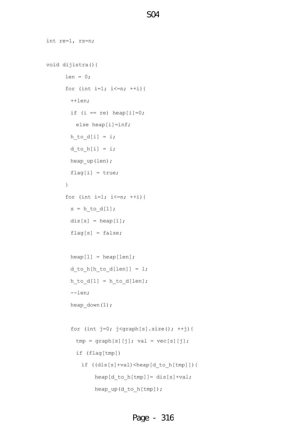```
int re=1, rs=n;
void dijistra(){
     len = 0;for (int i=1; i<=n; ++i){
        ++len;
       if (i == re) heap[i]=0;
         else heap[i]=inf;
       h_to_d[i] = i;d to h[i] = i;heap up(len);
       flag[i] = true; }
      for (int i=1; i<=n; ++i){
       s = h_to_d[1];dis[s] = heap[1];
       flag[s] = false;heap[1] = heap[len];d_to_h[h_to_d[len]] = 1;h_to_d[1] = h_to_d[len]; --len;
       heap down(1);
       for (int j=0; j<graph[s].size(); ++j){
         tmp = graph[s][j]; val = vec[s][j]; if (flag[tmp])
            if ((dis[s]+val)<heap[d_to_h[tmp]]){ 
               heap[d_to_h[tmp]]= dis[s]+val;
               heap up(d to h[tmp]);
```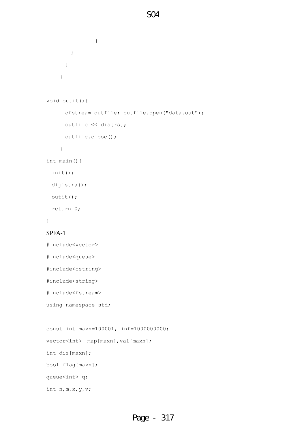```
 }
        } 
       }
     }
void outit(){
       ofstream outfile; outfile.open("data.out");
       outfile << dis[rs];
      outfile.close();
     }
int main(){
  init();
  dijistra();
  outit();
  return 0;
}
SPFA-1
#include<vector>
#include<queue>
#include<cstring>
#include<string>
#include<fstream>
using namespace std;
const int maxn=100001, inf=1000000000;
vector<int> map[maxn], val[maxn];
int dis[maxn];
bool flag[maxn];
queue<int> q;
```
int n,m,x,y,v;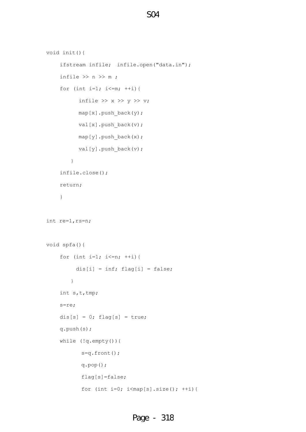```
void init(){
     ifstream infile; infile.open("data.in");
    infile \gg n \gg m;
    for (int i=1; i<=m; ++i){
          infile >> x >> y >> v;map[x].push back(y);
           val[x].push_back(v);
           map[y].push_back(x);
          val[y].push back(v);
         }
     infile.close();
     return; 
     }
int re=1,rs=n;
void spfa(){
    for (int i=1; i <= n; ++i) {
         dis[i] = inf; flag[i] = false;
         }
     int s,t,tmp;
     s=re;
    dis[s] = 0; flag[s] = true;
     q.push(s);
     while (!q.empty()){
            s=q.front();
            q.pop();
            flag[s]=false;
           for (int i=0; i < map[s].size(); ++i){
```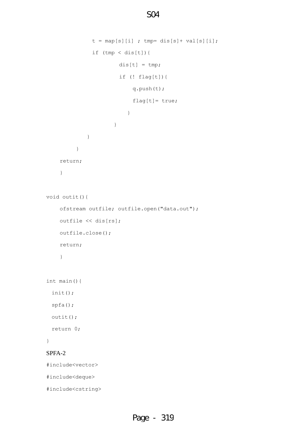```
t = map[s][i]; tmp = dis[s] + val[s][i];if (tmp < dis[t]) {
                     dis[t] = tmp; if (! flag[t]){
                          q.push(t);
                          flag[t]= true;
 }
 }
            }
          }
     return; 
     }
void outit(){
     ofstream outfile; outfile.open("data.out");
     outfile << dis[rs];
     outfile.close();
     return;
     } 
int main(){
  init();
  spfa();
  outit();
  return 0;
}
SPFA-2
#include<vector>
#include<deque>
#include<cstring>
```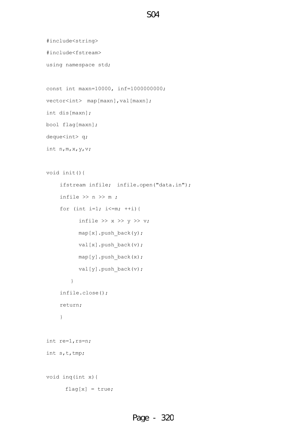```
#include<string>
```
#include<fstream>

using namespace std;

const int maxn=10000, inf=1000000000;

```
vector<int> map[maxn], val[maxn];
```
int dis[maxn];

bool flag[maxn];

deque<int> q;

int n,m,x,y,v;

```
void init(){
```

```
 ifstream infile; infile.open("data.in");
    infile \gg n \gg m;
    for (int i=1; i<=m; ++i){
          infile >> x >> y >> v;
           map[x].push_back(y);
          val[x].push back(v);
          map[y].push back(x);
          val[y].push back(v);
         }
     infile.close();
     return; 
     }
int re=1,rs=n;
int s,t,tmp;
void inq(int x){
      flag[x] = true;
```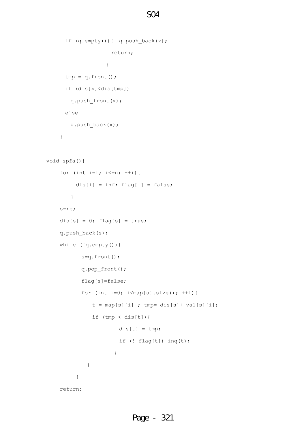```
 if (q.empty()){ q.push_back(x);
                   return; 
 }
     tmp = q.format(); if (dis[x]<dis[tmp]) 
       q.push_front(x);
      else
       q.push_back(x);
     }
void spfa(){
   for (int i=1; i<=n; ++i){
        dis[i] = inf; flag[i] = false;
        }
    s=re;
   dis[s] = 0; flag[s] = true;
    q.push_back(s);
    while (!q.empty()){
           s=q.front();
           q.pop_front();
           flag[s]=false;
          for (int i=0; i<map[s].size(); ++i){
             t = map[s][i]; tmp = dis[s] + val[s][i];if (tmp < dis[t]) {
                     dis[t] = tmp; if (! flag[t]) inq(t); 
 }
 }
 }
    return;
```
Page - 321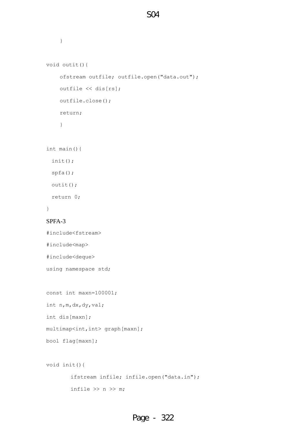```
 }
void outit(){
     ofstream outfile; outfile.open("data.out");
     outfile << dis[rs];
     outfile.close();
     return;
     } 
int main(){
  init();
  spfa();
  outit();
  return 0;
}
SPFA-3
#include<fstream>
#include<map>
#include<deque>
using namespace std;
const int maxn=100001;
int n,m,dx,dy,val;
int dis[maxn];
multimap<int,int> graph[maxn];
bool flag[maxn];
void init(){
         ifstream infile; infile.open("data.in");
        infile \gg n \gg m;
```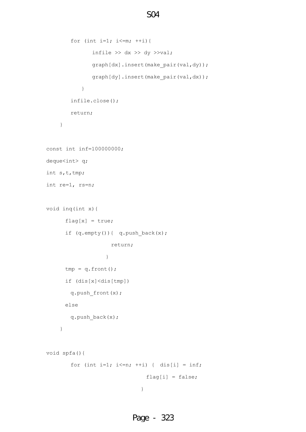```
for (int i=1; i<=m; ++i){
             infile \gg dx \gg dy \ggval;
             graph[dx].insert(make pair(val,dy));
             graph[dy].insert(make pair(val,dx));
 }
        infile.close();
        return;
     }
const int inf=100000000;
deque<int> q;
int s,t,tmp;
int re=1, rs=n;
void inq(int x){
     flag[x] = true; if (q.empty()){ q.push_back(x);
                   return; 
 }
     tmp = q.format(); if (dis[x]<dis[tmp]) 
       q.push_front(x);
      else
        q.push_back(x);
     }
void spfa(){
       for (int i=1; i \le n; ++i) { dis[i] = inf;
                             flag[i] = false; }
```
# Page - 323